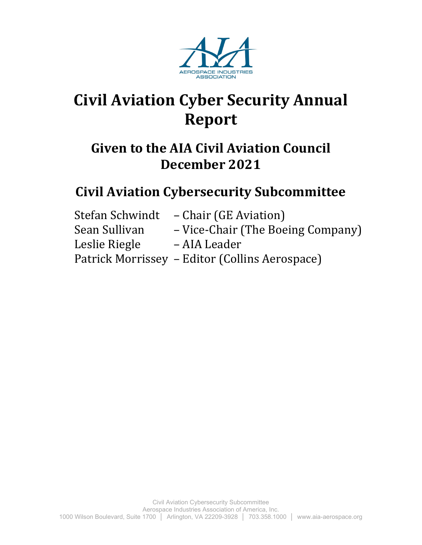

# **Civil Aviation Cyber Security Annual Report**

## **Given to the AIA Civil Aviation Council December 2021**

## **Civil Aviation Cybersecurity Subcommittee**

| – Chair (GE Aviation)                          |
|------------------------------------------------|
| - Vice-Chair (The Boeing Company)              |
| – AIA Leader                                   |
| Patrick Morrissey – Editor (Collins Aerospace) |
|                                                |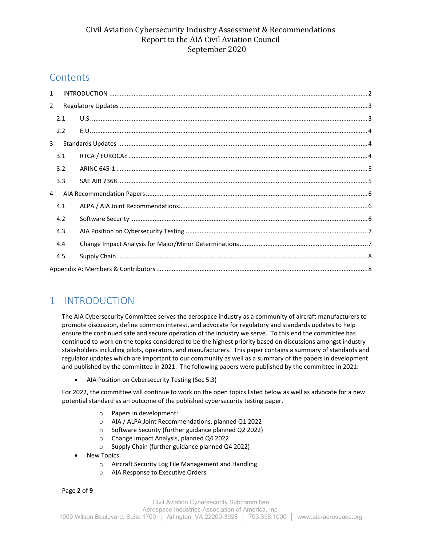### **Contents**

| $\mathbf{1}$   |     |  |  |  |  |
|----------------|-----|--|--|--|--|
| $\overline{2}$ |     |  |  |  |  |
|                | 2.1 |  |  |  |  |
|                | 2.2 |  |  |  |  |
| 3              |     |  |  |  |  |
|                | 3.1 |  |  |  |  |
|                | 3.2 |  |  |  |  |
|                | 3.3 |  |  |  |  |
| 4              |     |  |  |  |  |
|                | 4.1 |  |  |  |  |
|                | 4.2 |  |  |  |  |
|                | 4.3 |  |  |  |  |
|                | 4.4 |  |  |  |  |
|                | 4.5 |  |  |  |  |
|                |     |  |  |  |  |

## <span id="page-1-0"></span>1 INTRODUCTION

The AIA Cybersecurity Committee serves the aerospace industry as a community of aircraft manufacturers to promote discussion, define common interest, and advocate for regulatory and standards updates to help ensure the continued safe and secure operation of the industry we serve. To this end the committee has continued to work on the topics considered to be the highest priority based on discussions amongst industry stakeholders including pilots, operators, and manufacturers. This paper contains a summary of standards and regulator updates which are important to our community as well as a summary of the papers in development and published by the committee in 2021. The following papers were published by the committee in 2021:

• AIA Position on Cybersecurity Testing (Sec [5.3\)](#page-6-0)

For 2022, the committee will continue to work on the open topics listed below as well as advocate for a new potential standard as an outcome of the published cybersecurity testing paper.

- o Papers in development:
- o AIA / ALPA Joint Recommendations, planned Q1 2022
- o Software Security (further guidance planned Q2 2022)
- o Change Impact Analysis, planned Q4 2022
- o Supply Chain (further guidance planned Q4 2022)
- New Topics:
	- o Aircraft Security Log File Management and Handling
	- o AIA Response to Executive Orders

Page **2** of **9**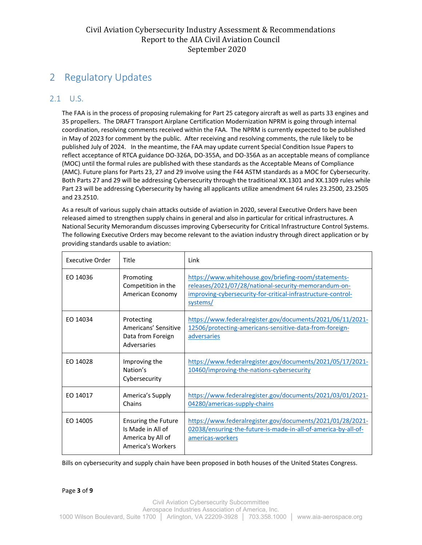## <span id="page-2-0"></span>2 Regulatory Updates

#### <span id="page-2-1"></span>2.1 U.S.

The FAA is in the process of proposing rulemaking for Part 25 category aircraft as well as parts 33 engines and 35 propellers. The DRAFT Transport Airplane Certification Modernization NPRM is going through internal coordination, resolving comments received within the FAA. The NPRM is currently expected to be published in May of 2023 for comment by the public. After receiving and resolving comments, the rule likely to be published July of 2024. In the meantime, the FAA may update current Special Condition Issue Papers to reflect acceptance of RTCA guidance DO-326A, DO-355A, and DO-356A as an acceptable means of compliance (MOC) until the formal rules are published with these standards as the Acceptable Means of Compliance (AMC). Future plans for Parts 23, 27 and 29 involve using the F44 ASTM standards as a MOC for Cybersecurity. Both Parts 27 and 29 will be addressing Cybersecurity through the traditional XX.1301 and XX.1309 rules while Part 23 will be addressing Cybersecurity by having all applicants utilize amendment 64 rules 23.2500, 23.2505 and 23.2510.

As a result of various supply chain attacks outside of aviation in 2020, several Executive Orders have been released aimed to strengthen supply chains in general and also in particular for critical infrastructures. A National Security Memorandum discusses improving Cybersecurity for Critical Infrastructure Control Systems. The following Executive Orders may become relevant to the aviation industry through direct application or by providing standards usable to aviation:

| <b>Executive Order</b> | Title                                                                                     | Link                                                                                                                                                                                     |
|------------------------|-------------------------------------------------------------------------------------------|------------------------------------------------------------------------------------------------------------------------------------------------------------------------------------------|
| EO 14036               | Promoting<br>Competition in the<br>American Economy                                       | https://www.whitehouse.gov/briefing-room/statements-<br>releases/2021/07/28/national-security-memorandum-on-<br>improving-cybersecurity-for-critical-infrastructure-control-<br>systems/ |
| EO 14034               | Protecting<br>Americans' Sensitive<br>Data from Foreign<br>Adversaries                    | https://www.federalregister.gov/documents/2021/06/11/2021-<br>12506/protecting-americans-sensitive-data-from-foreign-<br>adversaries                                                     |
| EO 14028               | Improving the<br>Nation's<br>Cybersecurity                                                | https://www.federalregister.gov/documents/2021/05/17/2021-<br>10460/improving-the-nations-cybersecurity                                                                                  |
| EO 14017               | America's Supply<br>Chains                                                                | https://www.federalregister.gov/documents/2021/03/01/2021-<br>04280/americas-supply-chains                                                                                               |
| EO 14005               | <b>Ensuring the Future</b><br>Is Made in All of<br>America by All of<br>America's Workers | https://www.federalregister.gov/documents/2021/01/28/2021-<br>02038/ensuring-the-future-is-made-in-all-of-america-by-all-of-<br>americas-workers                                         |

Bills on cybersecurity and supply chain have been proposed in both houses of the United States Congress.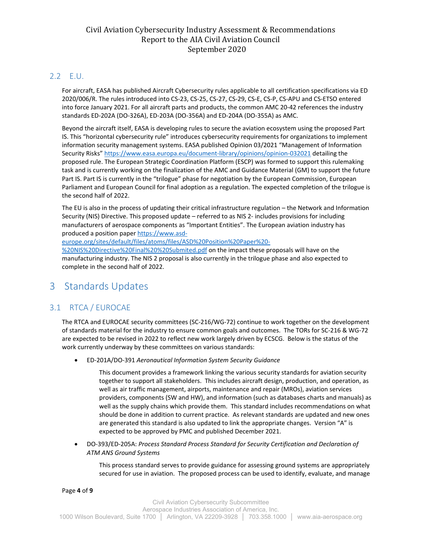#### <span id="page-3-0"></span>2.2 E.U.

For aircraft, EASA has published Aircraft Cybersecurity rules applicable to all certification specifications via ED 2020/006/R. The rules introduced into CS-23, CS-25, CS-27, CS-29, CS-E, CS-P, CS-APU and CS-ETSO entered into force January 2021. For all aircraft parts and products, the common AMC 20-42 references the industry standards ED-202A (DO-326A), ED-203A (DO-356A) and ED-204A (DO-355A) as AMC.

Beyond the aircraft itself, EASA is developing rules to secure the aviation ecosystem using the proposed Part IS. This "horizontal cybersecurity rule" introduces cybersecurity requirements for organizations to implement information security management systems. EASA published Opinion 03/2021 "Management of Information Security Risks[" https://www.easa.europa.eu/document-library/opinions/opinion-032021](https://www.easa.europa.eu/document-library/opinions/opinion-032021) detailing the proposed rule. The European Strategic Coordination Platform (ESCP) was formed to support this rulemaking task and is currently working on the finalization of the AMC and Guidance Material (GM) to support the future Part IS. Part IS is currently in the "trilogue" phase for negotiation by the European Commission, European Parliament and European Council for final adoption as a regulation. The expected completion of the trilogue is the second half of 2022.

The EU is also in the process of updating their critical infrastructure regulation – the Network and Information Security (NIS) Directive. This proposed update – referred to as NIS 2- includes provisions for including manufacturers of aerospace components as "Important Entities". The European aviation industry has produced a position pape[r https://www.asd-](https://www.asd-europe.org/sites/default/files/atoms/files/ASD%20Position%20Paper%20-%20NIS%20Directive%20Final%20%20Submited.pdf)

[europe.org/sites/default/files/atoms/files/ASD%20Position%20Paper%20-](https://www.asd-europe.org/sites/default/files/atoms/files/ASD%20Position%20Paper%20-%20NIS%20Directive%20Final%20%20Submited.pdf)

[%20NIS%20Directive%20Final%20%20Submited.pdf](https://www.asd-europe.org/sites/default/files/atoms/files/ASD%20Position%20Paper%20-%20NIS%20Directive%20Final%20%20Submited.pdf) on the impact these proposals will have on the manufacturing industry. The NIS 2 proposal is also currently in the trilogue phase and also expected to complete in the second half of 2022.

## <span id="page-3-1"></span>3 Standards Updates

#### <span id="page-3-2"></span>3.1 RTCA / EUROCAE

The RTCA and EUROCAE security committees (SC-216/WG-72) continue to work together on the development of standards material for the industry to ensure common goals and outcomes. The TORs for SC-216 & WG-72 are expected to be revised in 2022 to reflect new work largely driven by ECSCG. Below is the status of the work currently underway by these committees on various standards:

• ED-201A/DO-391 *Aeronautical Information System Security Guidance*

This document provides a framework linking the various security standards for aviation security together to support all stakeholders. This includes aircraft design, production, and operation, as well as air traffic management, airports, maintenance and repair (MROs), aviation services providers, components (SW and HW), and information (such as databases charts and manuals) as well as the supply chains which provide them. This standard includes recommendations on what should be done in addition to current practice. As relevant standards are updated and new ones are generated this standard is also updated to link the appropriate changes. Version "A" is expected to be approved by PMC and published December 2021.

• DO-393/ED-205A: *Process Standard Process Standard for Security Certification and Declaration of ATM ANS Ground Systems*

This process standard serves to provide guidance for assessing ground systems are appropriately secured for use in aviation. The proposed process can be used to identify, evaluate, and manage

Page **4** of **9**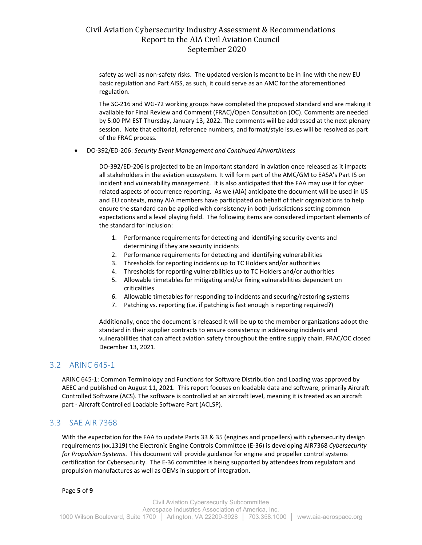safety as well as non-safety risks. The updated version is meant to be in line with the new EU basic regulation and Part AISS, as such, it could serve as an AMC for the aforementioned regulation.

The SC-216 and WG-72 working groups have completed the proposed standard and are making it available for Final Review and Comment (FRAC)/Open Consultation (OC). Comments are needed by 5:00 PM EST Thursday, January 13, 2022. The comments will be addressed at the next plenary session. Note that editorial, reference numbers, and format/style issues will be resolved as part of the FRAC process.

• DO-392/ED-206: *Security Event Management and Continued Airworthiness*

DO-392/ED-206 is projected to be an important standard in aviation once released as it impacts all stakeholders in the aviation ecosystem. It will form part of the AMC/GM to EASA's Part IS on incident and vulnerability management. It is also anticipated that the FAA may use it for cyber related aspects of occurrence reporting. As we (AIA) anticipate the document will be used in US and EU contexts, many AIA members have participated on behalf of their organizations to help ensure the standard can be applied with consistency in both jurisdictions setting common expectations and a level playing field. The following items are considered important elements of the standard for inclusion:

- 1. Performance requirements for detecting and identifying security events and determining if they are security incidents
- 2. Performance requirements for detecting and identifying vulnerabilities
- 3. Thresholds for reporting incidents up to TC Holders and/or authorities
- 4. Thresholds for reporting vulnerabilities up to TC Holders and/or authorities
- 5. Allowable timetables for mitigating and/or fixing vulnerabilities dependent on criticalities
- 6. Allowable timetables for responding to incidents and securing/restoring systems
- 7. Patching vs. reporting (i.e. if patching is fast enough is reporting required?)

Additionally, once the document is released it will be up to the member organizations adopt the standard in their supplier contracts to ensure consistency in addressing incidents and vulnerabilities that can affect aviation safety throughout the entire supply chain. FRAC/OC closed December 13, 2021.

#### <span id="page-4-0"></span>3.2 ARINC 645-1

ARINC 645-1: Common Terminology and Functions for Software Distribution and Loading was approved by AEEC and published on August 11, 2021. This report focuses on loadable data and software, primarily Aircraft Controlled Software (ACS). The software is controlled at an aircraft level, meaning it is treated as an aircraft part - Aircraft Controlled Loadable Software Part (ACLSP).

#### <span id="page-4-1"></span>3.3 SAE AIR 7368

With the expectation for the FAA to update Parts 33 & 35 (engines and propellers) with cybersecurity design requirements (xx.1319) the Electronic Engine Controls Committee (E-36) is developing AIR7368 *Cybersecurity for Propulsion Systems*. This document will provide guidance for engine and propeller control systems certification for Cybersecurity. The E-36 committee is being supported by attendees from regulators and propulsion manufactures as well as OEMs in support of integration.

Page **5** of **9**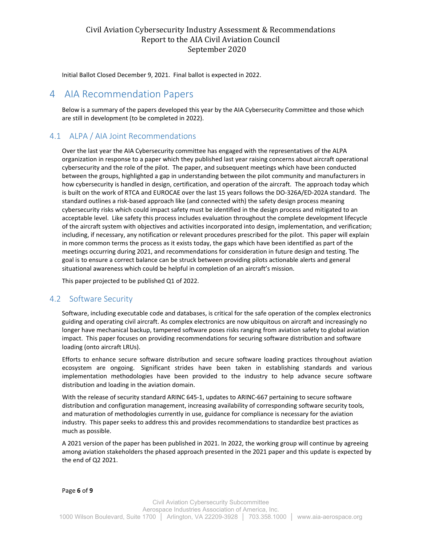Initial Ballot Closed December 9, 2021. Final ballot is expected in 2022.

### <span id="page-5-0"></span>4 AIA Recommendation Papers

Below is a summary of the papers developed this year by the AIA Cybersecurity Committee and those which are still in development (to be completed in 2022).

#### <span id="page-5-1"></span>4.1 ALPA / AIA Joint Recommendations

Over the last year the AIA Cybersecurity committee has engaged with the representatives of the ALPA organization in response to a paper which they published last year raising concerns about aircraft operational cybersecurity and the role of the pilot. The paper, and subsequent meetings which have been conducted between the groups, highlighted a gap in understanding between the pilot community and manufacturers in how cybersecurity is handled in design, certification, and operation of the aircraft. The approach today which is built on the work of RTCA and EUROCAE over the last 15 years follows the DO-326A/ED-202A standard. The standard outlines a risk-based approach like (and connected with) the safety design process meaning cybersecurity risks which could impact safety must be identified in the design process and mitigated to an acceptable level. Like safety this process includes evaluation throughout the complete development lifecycle of the aircraft system with objectives and activities incorporated into design, implementation, and verification; including, if necessary, any notification or relevant procedures prescribed for the pilot. This paper will explain in more common terms the process as it exists today, the gaps which have been identified as part of the meetings occurring during 2021, and recommendations for consideration in future design and testing. The goal is to ensure a correct balance can be struck between providing pilots actionable alerts and general situational awareness which could be helpful in completion of an aircraft's mission.

This paper projected to be published Q1 of 2022.

#### <span id="page-5-2"></span>4.2 Software Security

Software, including executable code and databases, is critical for the safe operation of the complex electronics guiding and operating civil aircraft. As complex electronics are now ubiquitous on aircraft and increasingly no longer have mechanical backup, tampered software poses risks ranging from aviation safety to global aviation impact. This paper focuses on providing recommendations for securing software distribution and software loading (onto aircraft LRUs).

Efforts to enhance secure software distribution and secure software loading practices throughout aviation ecosystem are ongoing. Significant strides have been taken in establishing standards and various implementation methodologies have been provided to the industry to help advance secure software distribution and loading in the aviation domain.

With the release of security standard ARINC 645-1, updates to ARINC-667 pertaining to secure software distribution and configuration management, increasing availability of corresponding software security tools, and maturation of methodologies currently in use, guidance for compliance is necessary for the aviation industry. This paper seeks to address this and provides recommendations to standardize best practices as much as possible.

A 2021 version of the paper has been published in 2021. In 2022, the working group will continue by agreeing among aviation stakeholders the phased approach presented in the 2021 paper and this update is expected by the end of Q2 2021.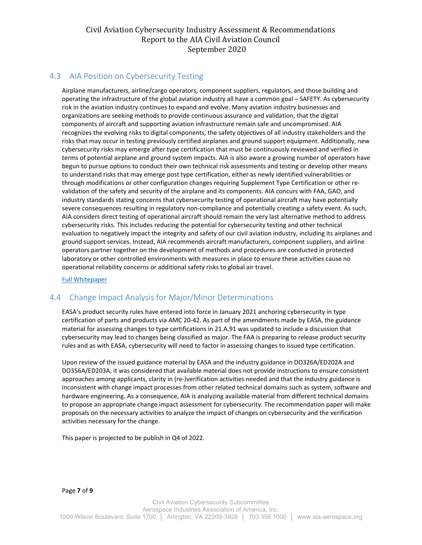#### <span id="page-6-0"></span>4.3 AIA Position on Cybersecurity Testing

Airplane manufacturers, airline/cargo operators, component suppliers, regulators, and those building and operating the infrastructure of the global aviation industry all have a common goal – SAFETY. As cybersecurity risk in the aviation industry continues to expand and evolve. Many aviation industry businesses and organizations are seeking methods to provide continuous assurance and validation, that the digital components of aircraft and supporting aviation infrastructure remain safe and uncompromised. AIA recognizes the evolving risks to digital components, the safety objectives of all industry stakeholders and the risks that may occur in testing previously certified airplanes and ground support equipment. Additionally, new cybersecurity risks may emerge after type certification that must be continuously reviewed and verified in terms of potential airplane and ground system impacts. AIA is also aware a growing number of operators have begun to pursue options to conduct their own technical risk assessments and testing or develop other means to understand risks that may emerge post type certification, either as newly identified vulnerabilities or through modifications or other configuration changes requiring Supplement Type Certification or other revalidation of the safety and security of the airplane and its components. AIA concurs with FAA, GAO, and industry standards stating concerns that cybersecurity testing of operational aircraft may have potentially severe consequences resulting in regulatory non-compliance and potentially creating a safety event. As such, AIA considers direct testing of operational aircraft should remain the very last alternative method to address cybersecurity risks. This includes reducing the potential for cybersecurity testing and other technical evaluation to negatively impact the integrity and safety of our civil aviation industry, including its airplanes and ground support services. Instead, AIA recommends aircraft manufacturers, component suppliers, and airline operators partner together on the development of methods and procedures are conducted in protected laboratory or other controlled environments with measures in place to ensure these activities cause no operational reliability concerns or additional safety risks to global air travel.

[Full Whitepaper](https://www.aia-aerospace.org/wp-content/uploads/2021/10/AIA-Commercial-Aviation-Cybersecurity-Testing-Recommendations-FINAL-14-Oct-202131.pdf)

#### <span id="page-6-1"></span>4.4 Change Impact Analysis for Major/Minor Determinations

EASA's product security rules have entered into force in January 2021 anchoring cybersecurity in type certification of parts and products via AMC 20-42. As part of the amendments made by EASA, the guidance material for assessing changes to type certifications in 21.A.91 was updated to include a discussion that cybersecurity may lead to changes being classified as major. The FAA is preparing to release product security rules and as with EASA, cybersecurity will need to factor in assessing changes to issued type certification.

Upon review of the issued guidance material by EASA and the industry guidance in DO326A/ED202A and DO356A/ED203A, it was considered that available material does not provide instructions to ensure consistent approaches among applicants, clarity in (re-)verification activities needed and that the industry guidance is inconsistent with change impact processes from other related technical domains such as system, software and hardware engineering. As a consequence, AIA is analyzing available material from different technical domains to propose an appropriate change impact assessment for cybersecurity. The recommendation paper will make proposals on the necessary activities to analyze the impact of changes on cybersecurity and the verification activities necessary for the change.

This paper is projected to be publish in Q4 of 2022.

Page **7** of **9**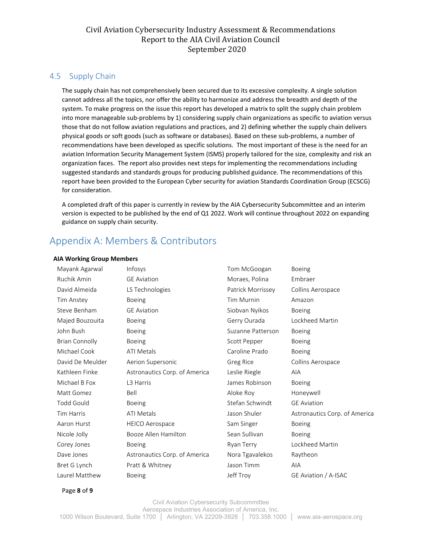#### <span id="page-7-0"></span>4.5 Supply Chain

The supply chain has not comprehensively been secured due to its excessive complexity. A single solution cannot address all the topics, nor offer the ability to harmonize and address the breadth and depth of the system. To make progress on the issue this report has developed a matrix to split the supply chain problem into more manageable sub-problems by 1) considering supply chain organizations as specific to aviation versus those that do not follow aviation regulations and practices, and 2) defining whether the supply chain delivers physical goods or soft goods (such as software or databases). Based on these sub-problems, a number of recommendations have been developed as specific solutions. The most important of these is the need for an aviation Information Security Management System (ISMS) properly tailored for the size, complexity and risk an organization faces. The report also provides next steps for implementing the recommendations including suggested standards and standards groups for producing published guidance. The recommendations of this report have been provided to the European Cyber security for aviation Standards Coordination Group (ECSCG) for consideration.

A completed draft of this paper is currently in review by the AIA Cybersecurity Subcommittee and an interim version is expected to be published by the end of Q1 2022. Work will continue throughout 2022 on expanding guidance on supply chain security.

## <span id="page-7-1"></span>Appendix A: Members & Contributors

#### **AIA Working Group Members**

| Mayank Agarwal        | Infosys                       | Tom McGoogan      | <b>Boeing</b>                 |
|-----------------------|-------------------------------|-------------------|-------------------------------|
| Ruchik Amin           | <b>GE</b> Aviation            | Moraes, Polina    | Embraer                       |
| David Almeida         | LS Technologies               | Patrick Morrissey | Collins Aerospace             |
| Tim Anstey            | <b>Boeing</b>                 | <b>Tim Murnin</b> | Amazon                        |
| Steve Benham          | <b>GE Aviation</b>            | Siobvan Nyikos    | <b>Boeing</b>                 |
| Majed Bouzouita       | <b>Boeing</b>                 | Gerry Ourada      | Lockheed Martin               |
| John Bush             | Boeing                        | Suzanne Patterson | Boeing                        |
| <b>Brian Connolly</b> | <b>Boeing</b>                 | Scott Pepper      | <b>Boeing</b>                 |
| Michael Cook          | <b>ATI Metals</b>             | Caroline Prado    | <b>Boeing</b>                 |
| David De Meulder      | Aerion Supersonic             | Greg Rice         | Collins Aerospace             |
| Kathleen Finke        | Astronautics Corp. of America | Leslie Riegle     | <b>AIA</b>                    |
| Michael B Fox         | L3 Harris                     | James Robinson    | <b>Boeing</b>                 |
| Matt Gomez            | Bell                          | Aloke Roy         | Honeywell                     |
| <b>Todd Gould</b>     | <b>Boeing</b>                 | Stefan Schwindt   | <b>GE Aviation</b>            |
| <b>Tim Harris</b>     | <b>ATI Metals</b>             | Jason Shuler      | Astronautics Corp. of America |
| Aaron Hurst           | <b>HEICO Aerospace</b>        | Sam Singer        | <b>Boeing</b>                 |
| Nicole Jolly          | Booze Allen Hamilton          | Sean Sullivan     | <b>Boeing</b>                 |
| Corey Jones           | <b>Boeing</b>                 | Ryan Terry        | Lockheed Martin               |
| Dave Jones            | Astronautics Corp. of America | Nora Tgavalekos   | Raytheon                      |
| Bret G Lynch          | Pratt & Whitney               | Jason Timm        | <b>AIA</b>                    |
| Laurel Matthew        | <b>Boeing</b>                 | Jeff Troy         | GE Aviation / A-ISAC          |

Page **8** of **9**